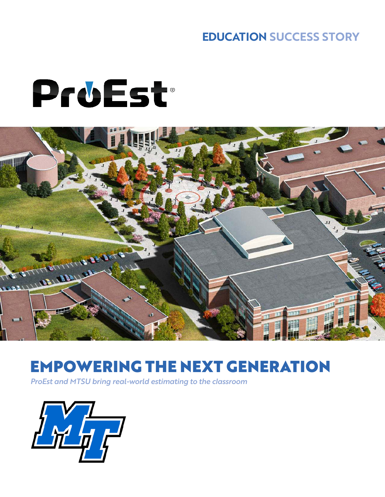#### **EDUCATION SUCCESS STORY**

# ProEst



### EMPOWERING THE NEXT GENERATION

*ProEst and MTSU bring real-world estimating to the classroom*

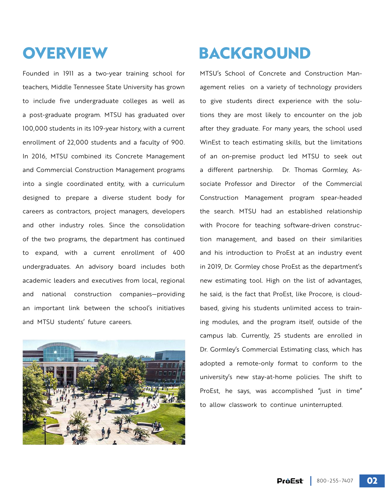Founded in 1911 as a two-year training school for teachers, Middle Tennessee State University has grown to include five undergraduate colleges as well as a post-graduate program. MTSU has graduated over 100,000 students in its 109-year history, with a current enrollment of 22,000 students and a faculty of 900. In 2016, MTSU combined its Concrete Management and Commercial Construction Management programs into a single coordinated entity, with a curriculum designed to prepare a diverse student body for careers as contractors, project managers, developers and other industry roles. Since the consolidation of the two programs, the department has continued to expand, with a current enrollment of 400 undergraduates. An advisory board includes both academic leaders and executives from local, regional and national construction companies—providing an important link between the school's initiatives and MTSU students' future careers.



## **OVERVIEW BACKGROUND**

MTSU's School of Concrete and Construction Management relies on a variety of technology providers to give students direct experience with the solutions they are most likely to encounter on the job after they graduate. For many years, the school used WinEst to teach estimating skills, but the limitations of an on-premise product led MTSU to seek out a different partnership. Dr. Thomas Gormley, Associate Professor and Director of the Commercial Construction Management program spear-headed the search. MTSU had an established relationship with Procore for teaching software-driven construction management, and based on their similarities and his introduction to ProEst at an industry event in 2019, Dr. Gormley chose ProEst as the department's new estimating tool. High on the list of advantages, he said, is the fact that ProEst, like Procore, is cloudbased, giving his students unlimited access to training modules, and the program itself, outside of the campus lab. Currently, 25 students are enrolled in Dr. Gormley's Commercial Estimating class, which has adopted a remote-only format to conform to the university's new stay-at-home policies. The shift to ProEst, he says, was accomplished "just in time" to allow classwork to continue uninterrupted.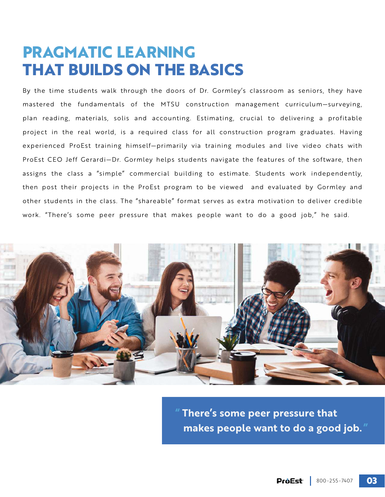#### **PRAGMATIC LEARNING THAT BUILDS ON THE BASICS**

By the time students walk through the doors of Dr. Gormley's classroom as seniors, they have mastered the fundamentals of the MTSU construction management curriculum—surveying, plan reading, materials, solis and accounting. Estimating, crucial to delivering a profitable project in the real world, is a required class for all construction program graduates. Having experienced ProEst training himself—primarily via training modules and live video chats with ProEst CEO Jeff Gerardi—Dr. Gormley helps students navigate the features of the software, then assigns the class a "simple" commercial building to estimate. Students work independently, then post their projects in the ProEst program to be viewed and evaluated by Gormley and other students in the class. The "shareable" format serves as extra motivation to deliver credible work. "There's some peer pressure that makes people want to do a good job," he said.



**" There's some peer pressure that makes people want to do a good job. "**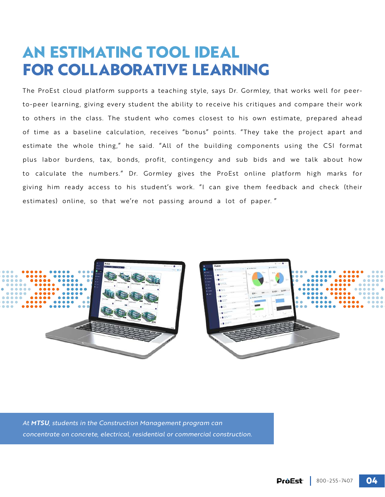#### **AN ESTIMATING TOOL IDEAL FOR COLLABORATIVE LEARNING**

The ProEst cloud platform supports a teaching style, says Dr. Gormley, that works well for peerto-peer learning, giving every student the ability to receive his critiques and compare their work to others in the class. The student who comes closest to his own estimate, prepared ahead of time as a baseline calculation, receives "bonus" points. "They take the project apart and estimate the whole thing," he said. "All of the building components using the CSI format plus labor burdens, tax, bonds, profit, contingency and sub bids and we talk about how to calculate the numbers." Dr. Gormley gives the ProEst online platform high marks for giving him ready access to his student's work. "I can give them feedback and check (their estimates) online, so that we're not passing around a lot of paper. "



*At MTSU, students in the Construction Management program can concentrate on concrete, electrical, residential or commercial construction.*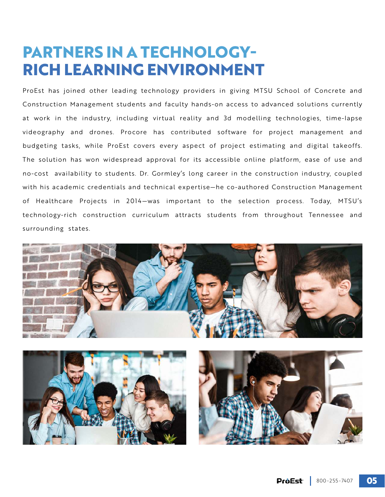#### **PARTNERS IN A TECHNOLOGY-RICH LEARNING ENVIRONMENT**

ProEst has joined other leading technology providers in giving MTSU School of Concrete and Construction Management students and faculty hands-on access to advanced solutions currently at work in the industry, including virtual reality and 3d modelling technologies, time-lapse videography and drones. Procore has contributed software for project management and budgeting tasks, while ProEst covers every aspect of project estimating and digital takeoffs. The solution has won widespread approval for its accessible online platform, ease of use and no-cost availability to students. Dr. Gormley's long career in the construction industry, coupled with his academic credentials and technical expertise—he co-authored Construction Management of Healthcare Projects in 2014—was important to the selection process. Today, MTSU's technology-rich construction curriculum attracts students from throughout Tennessee and surrounding states.